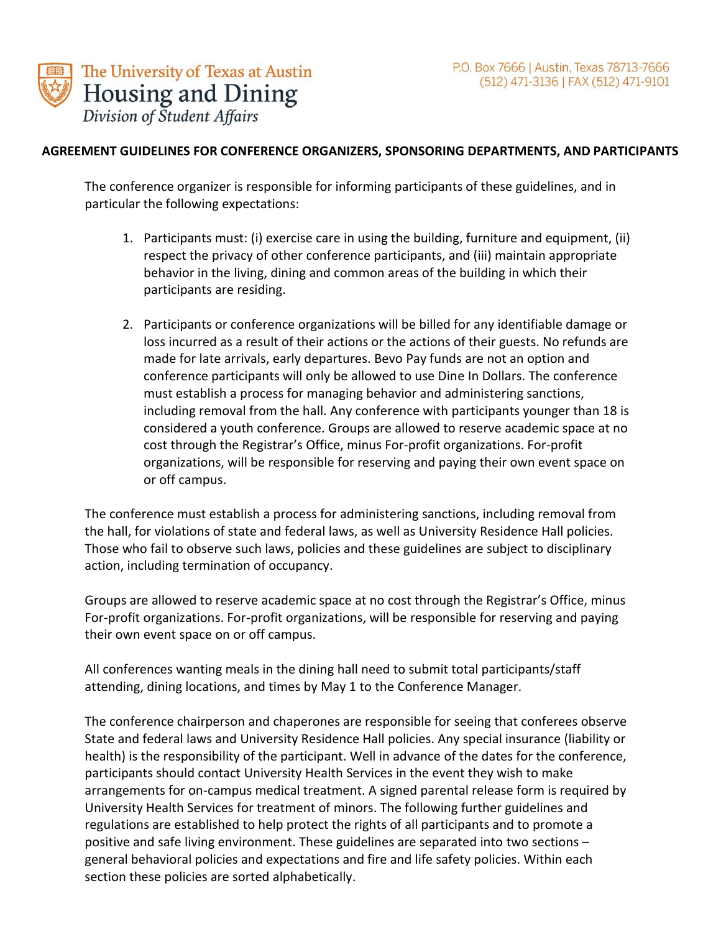

#### **AGREEMENT GUIDELINES FOR CONFERENCE ORGANIZERS, SPONSORING DEPARTMENTS, AND PARTICIPANTS**

The conference organizer is responsible for informing participants of these guidelines, and in particular the following expectations:

- 1. Participants must: (i) exercise care in using the building, furniture and equipment, (ii) respect the privacy of other conference participants, and (iii) maintain appropriate behavior in the living, dining and common areas of the building in which their participants are residing.
- 2. Participants or conference organizations will be billed for any identifiable damage or loss incurred as a result of their actions or the actions of their guests. No refunds are made for late arrivals, early departures. Bevo Pay funds are not an option and conference participants will only be allowed to use Dine In Dollars. The conference must establish a process for managing behavior and administering sanctions, including removal from the hall. Any conference with participants younger than 18 is considered a youth conference. Groups are allowed to reserve academic space at no cost through the Registrar's Office, minus For-profit organizations. For-profit organizations, will be responsible for reserving and paying their own event space on or off campus.

The conference must establish a process for administering sanctions, including removal from the hall, for violations of state and federal laws, as well as University Residence Hall policies. Those who fail to observe such laws, policies and these guidelines are subject to disciplinary action, including termination of occupancy.

Groups are allowed to reserve academic space at no cost through the Registrar's Office, minus For-profit organizations. For-profit organizations, will be responsible for reserving and paying their own event space on or off campus.

All conferences wanting meals in the dining hall need to submit total participants/staff attending, dining locations, and times by May 1 to the Conference Manager.

The conference chairperson and chaperones are responsible for seeing that conferees observe State and federal laws and University Residence Hall policies. Any special insurance (liability or health) is the responsibility of the participant. Well in advance of the dates for the conference, participants should contact University Health Services in the event they wish to make arrangements for on-campus medical treatment. A signed parental release form is required by University Health Services for treatment of minors. The following further guidelines and regulations are established to help protect the rights of all participants and to promote a positive and safe living environment. These guidelines are separated into two sections – general behavioral policies and expectations and fire and life safety policies. Within each section these policies are sorted alphabetically.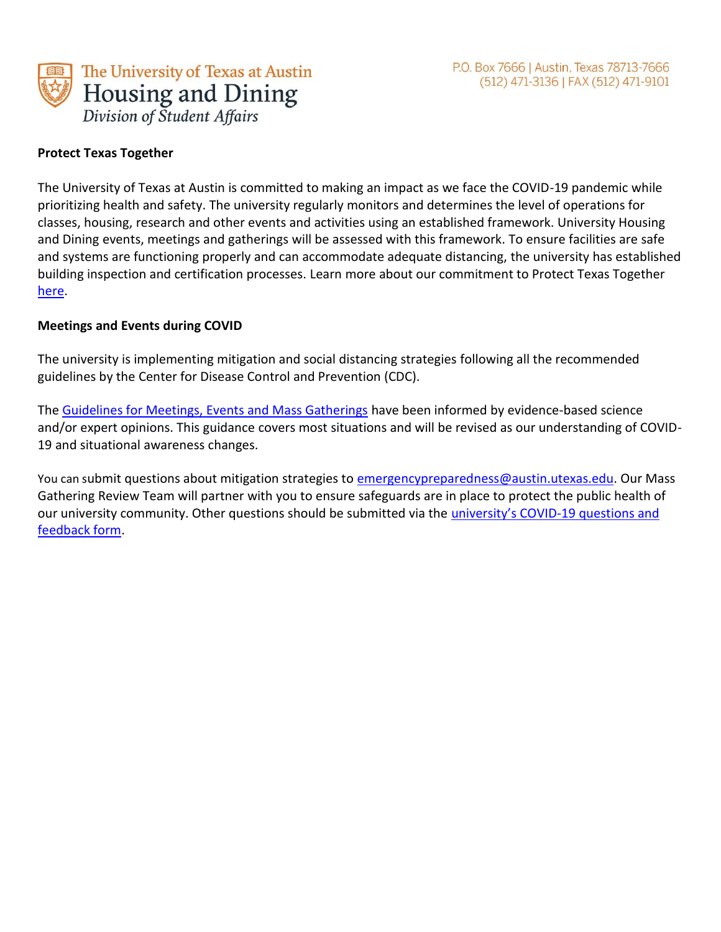

#### **Protect Texas Together**

The University of Texas at Austin is committed to making an impact as we face the COVID-19 pandemic while prioritizing health and safety. The university regularly monitors and determines the level of operations for classes, housing, research and other events and activities using an established framework. University Housing and Dining events, meetings and gatherings will be assessed with this framework. To ensure facilities are safe and systems are functioning properly and can accommodate adequate distancing, the university has established building inspection and certification processes. Learn more about our commitment to Protect Texas Together [here.](https://protect.utexas.edu/)

#### **Meetings and Events during COVID**

The university is implementing mitigation and social distancing strategies following all the recommended guidelines by the Center for Disease Control and Prevention (CDC).

The [Guidelines for Meetings, Events and Mass Gatherings](https://utexas.box.com/s/4py7o3yry9p0aq2u6cki2tzq43kqf58u) have been informed by evidence-based science and/or expert opinions. This guidance covers most situations and will be revised as our understanding of COVID-19 and situational awareness changes.

You can submit questions about mitigation strategies to [emergencypreparedness@austin.utexas.edu.](mailto:emergencypreparedness@austin.utexas.edu) Our Mass Gathering Review Team will partner with you to ensure safeguards are in place to protect the public health of our university community. Other questions should be submitted via the [university's COVID](https://utexas.qualtrics.com/jfe/form/SV_9npCK5Dw98jt05D)-19 questions and [feedback form.](https://utexas.qualtrics.com/jfe/form/SV_9npCK5Dw98jt05D)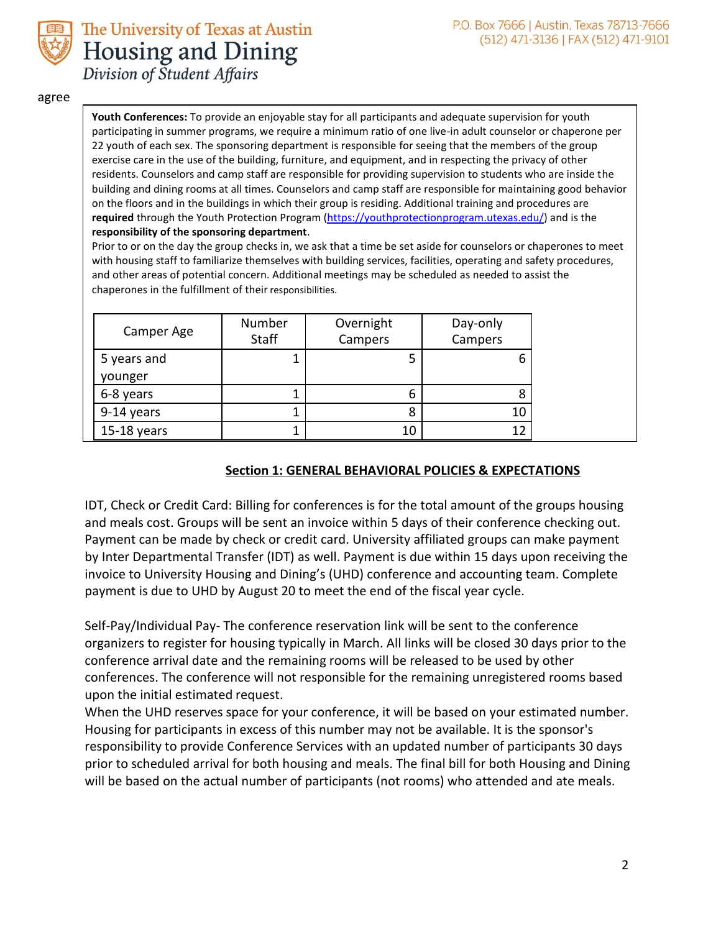



agree

**Youth Conferences:** To provide an enjoyable stay for all participants and adequate supervision for youth participating in summer programs, we require a minimum ratio of one live-in adult counselor or chaperone per 22 youth of each sex. The sponsoring department is responsible for seeing that the members of the group exercise care in the use of the building, furniture, and equipment, and in respecting the privacy of other residents. Counselors and camp staff are responsible for providing supervision to students who are inside the building and dining rooms at all times. Counselors and camp staff are responsible for maintaining good behavior on the floors and in the buildings in which their group is residing. Additional training and procedures are **required** through the Youth Protection Program [\(https://youthprotectionprogram.utexas.edu/\)](https://youthprotectionprogram.utexas.edu/) and is the **responsibility of the sponsoring department**.

Prior to or on the day the group checks in, we ask that a time be set aside for counselors or chaperones to meet with housing staff to familiarize themselves with building services, facilities, operating and safety procedures, and other areas of potential concern. Additional meetings may be scheduled as needed to assist the chaperones in the fulfillment of their responsibilities.

| Camper Age  | Number<br>Staff | Overnight<br>Campers | Day-only<br>Campers |
|-------------|-----------------|----------------------|---------------------|
| 5 years and |                 | 5                    | n                   |
| younger     |                 |                      |                     |
| 6-8 years   |                 | 6                    |                     |
| 9-14 years  | 1               | 8                    | 10                  |
| 15-18 years |                 | 10                   | 1 7                 |

#### **Section 1: GENERAL BEHAVIORAL POLICIES & EXPECTATIONS**

IDT, Check or Credit Card: Billing for conferences is for the total amount of the groups housing and meals cost. Groups will be sent an invoice within 5 days of their conference checking out. Payment can be made by check or credit card. University affiliated groups can make payment by Inter Departmental Transfer (IDT) as well. Payment is due within 15 days upon receiving the invoice to University Housing and Dining's (UHD) conference and accounting team. Complete payment is due to UHD by August 20 to meet the end of the fiscal year cycle.

Self-Pay/Individual Pay- The conference reservation link will be sent to the conference organizers to register for housing typically in March. All links will be closed 30 days prior to the conference arrival date and the remaining rooms will be released to be used by other conferences. The conference will not responsible for the remaining unregistered rooms based upon the initial estimated request.

When the UHD reserves space for your conference, it will be based on your estimated number. Housing for participants in excess of this number may not be available. It is the sponsor's responsibility to provide Conference Services with an updated number of participants 30 days prior to scheduled arrival for both housing and meals. The final bill for both Housing and Dining will be based on the actual number of participants (not rooms) who attended and ate meals.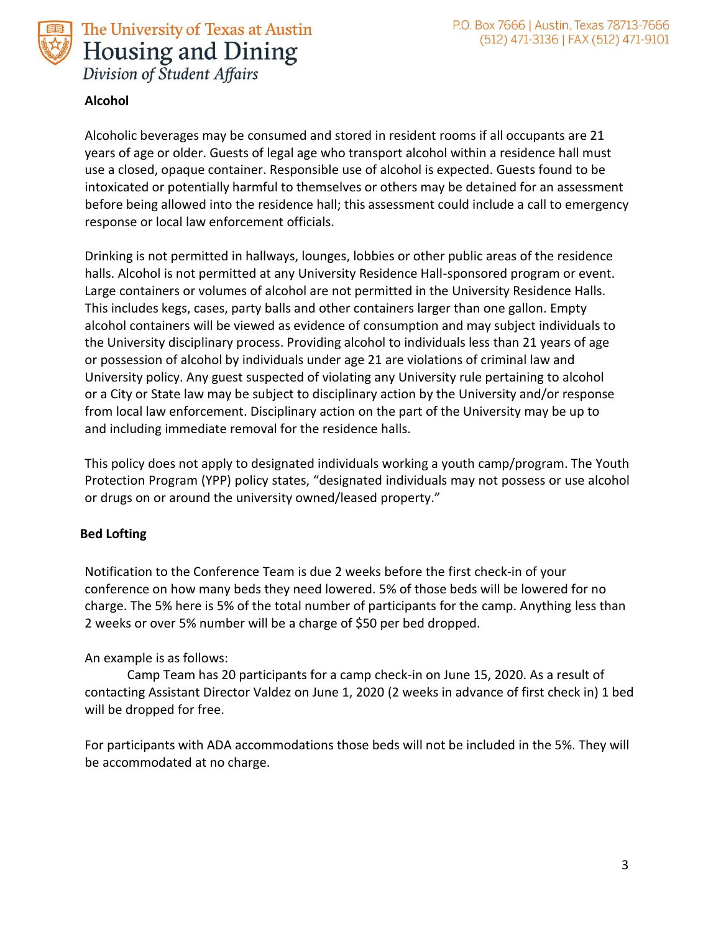



#### **Alcohol**

Alcoholic beverages may be consumed and stored in resident rooms if all occupants are 21 years of age or older. Guests of legal age who transport alcohol within a residence hall must use a closed, opaque container. Responsible use of alcohol is expected. Guests found to be intoxicated or potentially harmful to themselves or others may be detained for an assessment before being allowed into the residence hall; this assessment could include a call to emergency response or local law enforcement officials.

Drinking is not permitted in hallways, lounges, lobbies or other public areas of the residence halls. Alcohol is not permitted at any University Residence Hall-sponsored program or event. Large containers or volumes of alcohol are not permitted in the University Residence Halls. This includes kegs, cases, party balls and other containers larger than one gallon. Empty alcohol containers will be viewed as evidence of consumption and may subject individuals to the University disciplinary process. Providing alcohol to individuals less than 21 years of age or possession of alcohol by individuals under age 21 are violations of criminal law and University policy. Any guest suspected of violating any University rule pertaining to alcohol or a City or State law may be subject to disciplinary action by the University and/or response from local law enforcement. Disciplinary action on the part of the University may be up to and including immediate removal for the residence halls.

This policy does not apply to designated individuals working a youth camp/program. The Youth Protection Program (YPP) policy states, "designated individuals may not possess or use alcohol or drugs on or around the university owned/leased property."

#### **Bed Lofting**

Notification to the Conference Team is due 2 weeks before the first check-in of your conference on how many beds they need lowered. 5% of those beds will be lowered for no charge. The 5% here is 5% of the total number of participants for the camp. Anything less than 2 weeks or over 5% number will be a charge of \$50 per bed dropped.

#### An example is as follows:

Camp Team has 20 participants for a camp check-in on June 15, 2020. As a result of contacting Assistant Director Valdez on June 1, 2020 (2 weeks in advance of first check in) 1 bed will be dropped for free.

For participants with ADA accommodations those beds will not be included in the 5%. They will be accommodated at no charge.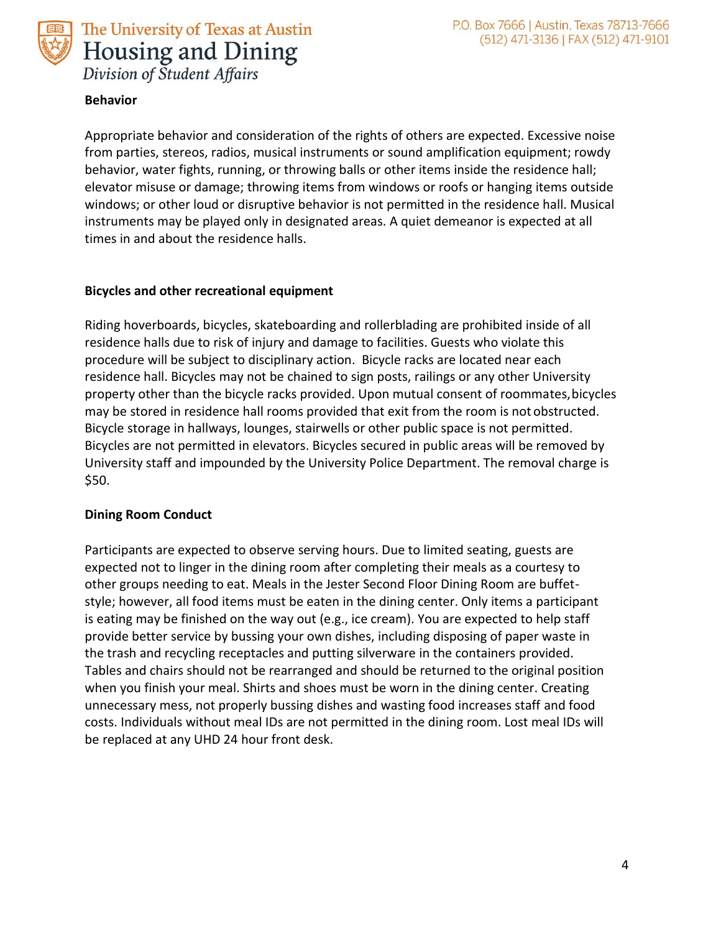

#### **Behavior**

Appropriate behavior and consideration of the rights of others are expected. Excessive noise from parties, stereos, radios, musical instruments or sound amplification equipment; rowdy behavior, water fights, running, or throwing balls or other items inside the residence hall; elevator misuse or damage; throwing items from windows or roofs or hanging items outside windows; or other loud or disruptive behavior is not permitted in the residence hall. Musical instruments may be played only in designated areas. A quiet demeanor is expected at all times in and about the residence halls.

#### **Bicycles and other recreational equipment**

Riding hoverboards, bicycles, skateboarding and rollerblading are prohibited inside of all residence halls due to risk of injury and damage to facilities. Guests who violate this procedure will be subject to disciplinary action. Bicycle racks are located near each residence hall. Bicycles may not be chained to sign posts, railings or any other University property other than the bicycle racks provided. Upon mutual consent of roommates,bicycles may be stored in residence hall rooms provided that exit from the room is not obstructed. Bicycle storage in hallways, lounges, stairwells or other public space is not permitted. Bicycles are not permitted in elevators. Bicycles secured in public areas will be removed by University staff and impounded by the University Police Department. The removal charge is \$50.

#### **Dining Room Conduct**

Participants are expected to observe serving hours. Due to limited seating, guests are expected not to linger in the dining room after completing their meals as a courtesy to other groups needing to eat. Meals in the Jester Second Floor Dining Room are buffetstyle; however, all food items must be eaten in the dining center. Only items a participant is eating may be finished on the way out (e.g., ice cream). You are expected to help staff provide better service by bussing your own dishes, including disposing of paper waste in the trash and recycling receptacles and putting silverware in the containers provided. Tables and chairs should not be rearranged and should be returned to the original position when you finish your meal. Shirts and shoes must be worn in the dining center. Creating unnecessary mess, not properly bussing dishes and wasting food increases staff and food costs. Individuals without meal IDs are not permitted in the dining room. Lost meal IDs will be replaced at any UHD 24 hour front desk.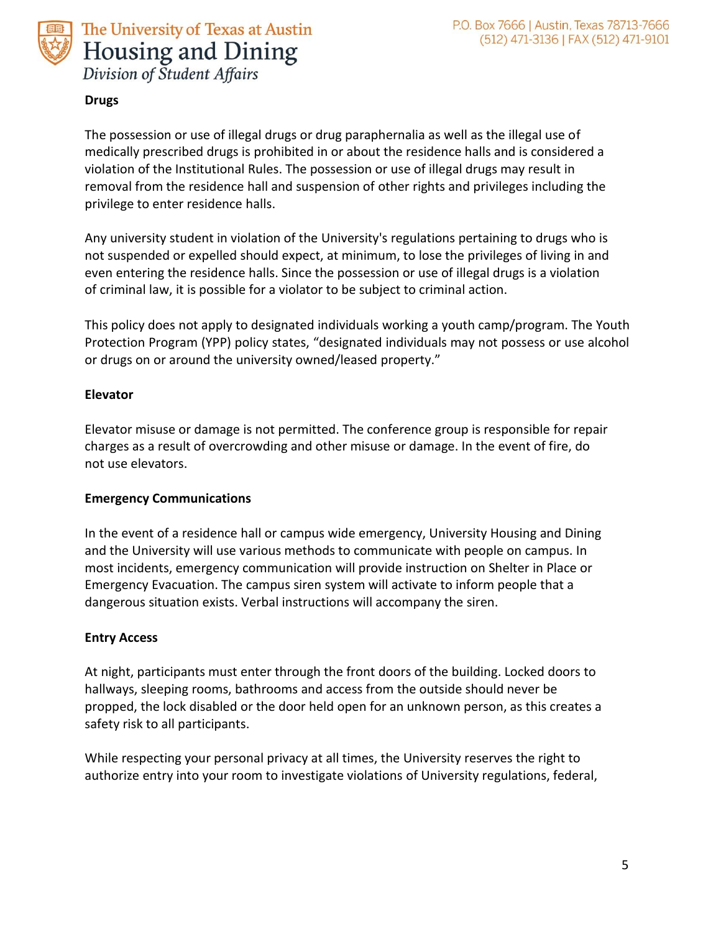



#### **Drugs**

The possession or use of illegal drugs or drug paraphernalia as well as the illegal use of medically prescribed drugs is prohibited in or about the residence halls and is considered a violation of the Institutional Rules. The possession or use of illegal drugs may result in removal from the residence hall and suspension of other rights and privileges including the privilege to enter residence halls.

Any university student in violation of the University's regulations pertaining to drugs who is not suspended or expelled should expect, at minimum, to lose the privileges of living in and even entering the residence halls. Since the possession or use of illegal drugs is a violation of criminal law, it is possible for a violator to be subject to criminal action.

This policy does not apply to designated individuals working a youth camp/program. The Youth Protection Program (YPP) policy states, "designated individuals may not possess or use alcohol or drugs on or around the university owned/leased property."

#### **Elevator**

Elevator misuse or damage is not permitted. The conference group is responsible for repair charges as a result of overcrowding and other misuse or damage. In the event of fire, do not use elevators.

#### **Emergency Communications**

In the event of a residence hall or campus wide emergency, University Housing and Dining and the University will use various methods to communicate with people on campus. In most incidents, emergency communication will provide instruction on Shelter in Place or Emergency Evacuation. The campus siren system will activate to inform people that a dangerous situation exists. Verbal instructions will accompany the siren.

#### **Entry Access**

At night, participants must enter through the front doors of the building. Locked doors to hallways, sleeping rooms, bathrooms and access from the outside should never be propped, the lock disabled or the door held open for an unknown person, as this creates a safety risk to all participants.

While respecting your personal privacy at all times, the University reserves the right to authorize entry into your room to investigate violations of University regulations, federal,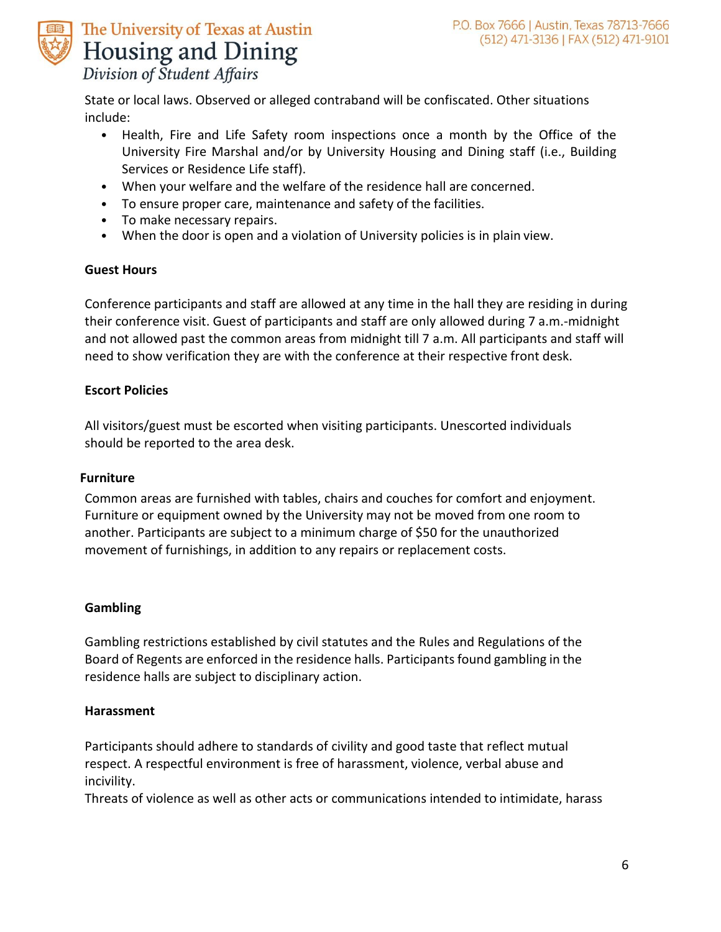

State or local laws. Observed or alleged contraband will be confiscated. Other situations include:

- Health, Fire and Life Safety room inspections once a month by the Office of the University Fire Marshal and/or by University Housing and Dining staff (i.e., Building Services or Residence Life staff).
- When your welfare and the welfare of the residence hall are concerned.
- To ensure proper care, maintenance and safety of the facilities.
- To make necessary repairs.
- When the door is open and a violation of University policies is in plain view.

#### **Guest Hours**

Conference participants and staff are allowed at any time in the hall they are residing in during their conference visit. Guest of participants and staff are only allowed during 7 a.m.-midnight and not allowed past the common areas from midnight till 7 a.m. All participants and staff will need to show verification they are with the conference at their respective front desk.

#### **Escort Policies**

All visitors/guest must be escorted when visiting participants. Unescorted individuals should be reported to the area desk.

#### **Furniture**

Common areas are furnished with tables, chairs and couches for comfort and enjoyment. Furniture or equipment owned by the University may not be moved from one room to another. Participants are subject to a minimum charge of \$50 for the unauthorized movement of furnishings, in addition to any repairs or replacement costs.

#### **Gambling**

Gambling restrictions established by civil statutes and the Rules and Regulations of the Board of Regents are enforced in the residence halls. Participants found gambling in the residence halls are subject to disciplinary action.

#### **Harassment**

Participants should adhere to standards of civility and good taste that reflect mutual respect. A respectful environment is free of harassment, violence, verbal abuse and incivility.

Threats of violence as well as other acts or communications intended to intimidate, harass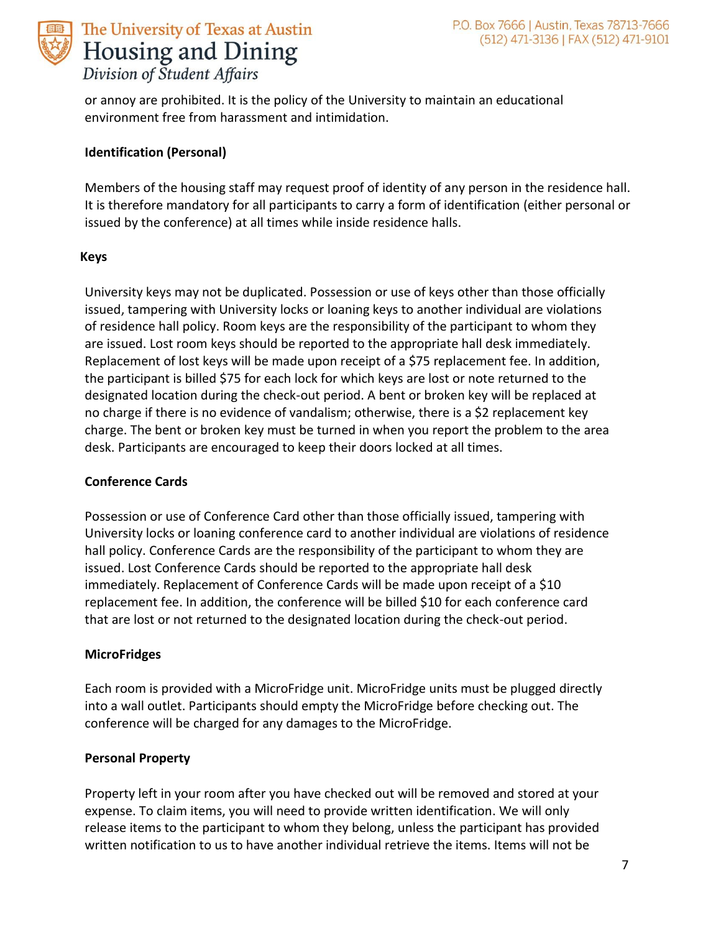

or annoy are prohibited. It is the policy of the University to maintain an educational environment free from harassment and intimidation.

#### **Identification (Personal)**

Members of the housing staff may request proof of identity of any person in the residence hall. It is therefore mandatory for all participants to carry a form of identification (either personal or issued by the conference) at all times while inside residence halls.

#### **Keys**

University keys may not be duplicated. Possession or use of keys other than those officially issued, tampering with University locks or loaning keys to another individual are violations of residence hall policy. Room keys are the responsibility of the participant to whom they are issued. Lost room keys should be reported to the appropriate hall desk immediately. Replacement of lost keys will be made upon receipt of a \$75 replacement fee. In addition, the participant is billed \$75 for each lock for which keys are lost or note returned to the designated location during the check-out period. A bent or broken key will be replaced at no charge if there is no evidence of vandalism; otherwise, there is a \$2 replacement key charge. The bent or broken key must be turned in when you report the problem to the area desk. Participants are encouraged to keep their doors locked at all times.

#### **Conference Cards**

Possession or use of Conference Card other than those officially issued, tampering with University locks or loaning conference card to another individual are violations of residence hall policy. Conference Cards are the responsibility of the participant to whom they are issued. Lost Conference Cards should be reported to the appropriate hall desk immediately. Replacement of Conference Cards will be made upon receipt of a \$10 replacement fee. In addition, the conference will be billed \$10 for each conference card that are lost or not returned to the designated location during the check-out period.

#### **MicroFridges**

Each room is provided with a MicroFridge unit. MicroFridge units must be plugged directly into a wall outlet. Participants should empty the MicroFridge before checking out. The conference will be charged for any damages to the MicroFridge.

#### **Personal Property**

Property left in your room after you have checked out will be removed and stored at your expense. To claim items, you will need to provide written identification. We will only release items to the participant to whom they belong, unless the participant has provided written notification to us to have another individual retrieve the items. Items will not be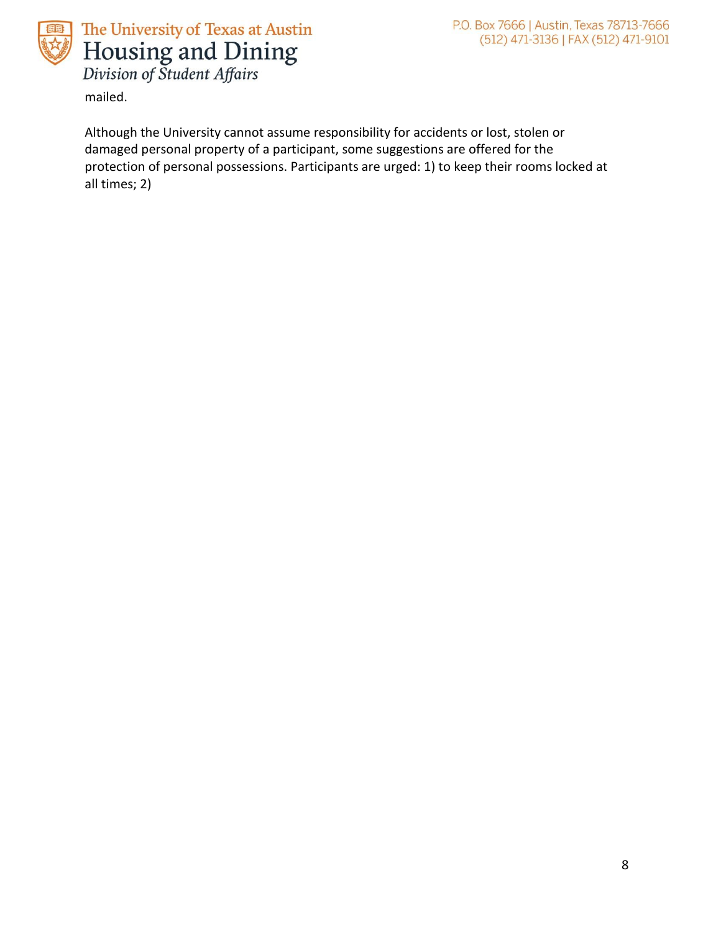

mailed.

Although the University cannot assume responsibility for accidents or lost, stolen or damaged personal property of a participant, some suggestions are offered for the protection of personal possessions. Participants are urged: 1) to keep their rooms locked at all times; 2)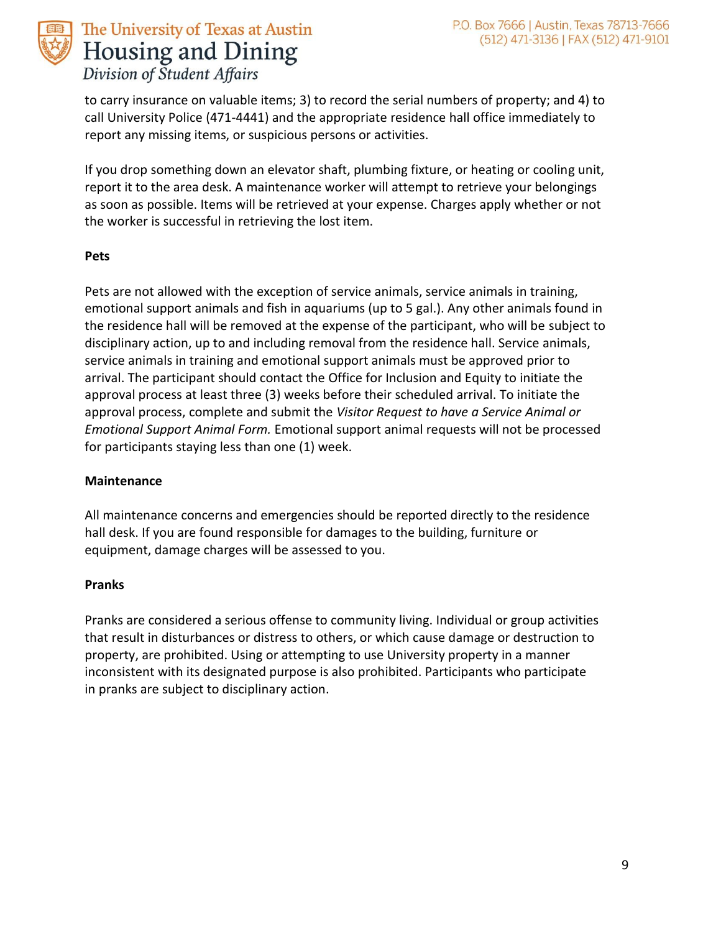

to carry insurance on valuable items; 3) to record the serial numbers of property; and 4) to call University Police (471-4441) and the appropriate residence hall office immediately to report any missing items, or suspicious persons or activities.

If you drop something down an elevator shaft, plumbing fixture, or heating or cooling unit, report it to the area desk. A maintenance worker will attempt to retrieve your belongings as soon as possible. Items will be retrieved at your expense. Charges apply whether or not the worker is successful in retrieving the lost item.

#### **Pets**

Pets are not allowed with the exception of service animals, service animals in training, emotional support animals and fish in aquariums (up to 5 gal.). Any other animals found in the residence hall will be removed at the expense of the participant, who will be subject to disciplinary action, up to and including removal from the residence hall. Service animals, service animals in training and emotional support animals must be approved prior to arrival. The participant should contact the Office for Inclusion and Equity to initiate the approval process at least three (3) weeks before their scheduled arrival. To initiate the approval process, complete and submit the *Visitor Request to have a Service Animal or Emotional Support Animal Form.* Emotional support animal requests will not be processed for participants staying less than one (1) week.

#### **Maintenance**

All maintenance concerns and emergencies should be reported directly to the residence hall desk. If you are found responsible for damages to the building, furniture or equipment, damage charges will be assessed to you.

#### **Pranks**

Pranks are considered a serious offense to community living. Individual or group activities that result in disturbances or distress to others, or which cause damage or destruction to property, are prohibited. Using or attempting to use University property in a manner inconsistent with its designated purpose is also prohibited. Participants who participate in pranks are subject to disciplinary action.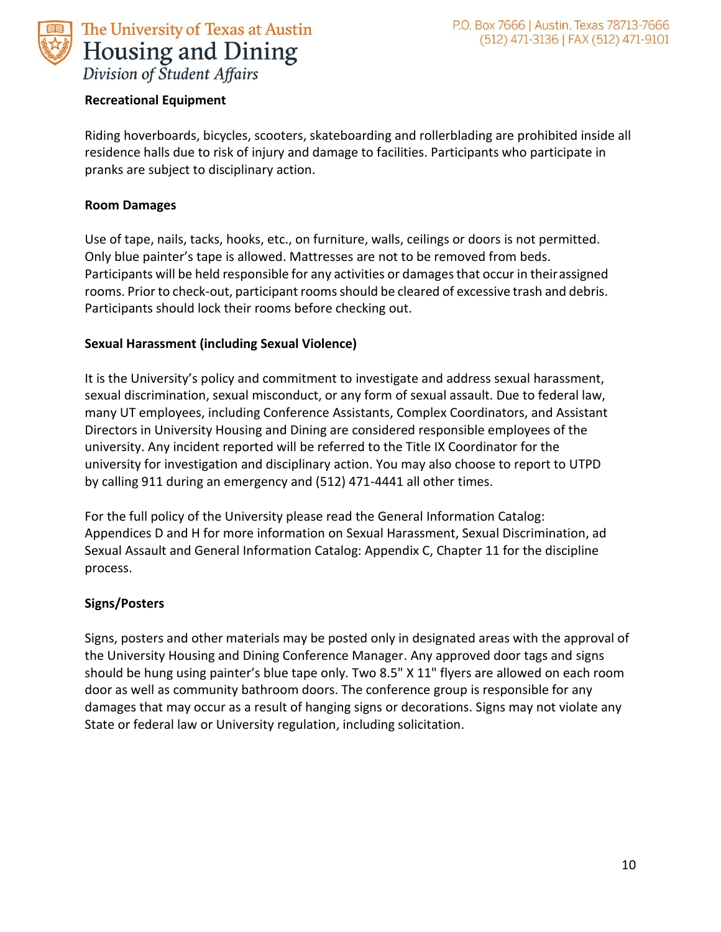

#### **Recreational Equipment**

Riding hoverboards, bicycles, scooters, skateboarding and rollerblading are prohibited inside all residence halls due to risk of injury and damage to facilities. Participants who participate in pranks are subject to disciplinary action.

#### **Room Damages**

Use of tape, nails, tacks, hooks, etc., on furniture, walls, ceilings or doors is not permitted. Only blue painter's tape is allowed. Mattresses are not to be removed from beds. Participants will be held responsible for any activities or damages that occur in theirassigned rooms. Prior to check-out, participant rooms should be cleared of excessive trash and debris. Participants should lock their rooms before checking out.

#### **Sexual Harassment (including Sexual Violence)**

It is the University's policy and commitment to investigate and address sexual harassment, sexual discrimination, sexual misconduct, or any form of sexual assault. Due to federal law, many UT employees, including Conference Assistants, Complex Coordinators, and Assistant Directors in University Housing and Dining are considered responsible employees of the university. Any incident reported will be referred to the Title IX Coordinator for the university for investigation and disciplinary action. You may also choose to report to UTPD by calling 911 during an emergency and (512) 471-4441 all other times.

For the full policy of the University please read the General Information Catalog: Appendices D and H for more information on Sexual Harassment, Sexual Discrimination, ad Sexual Assault and General Information Catalog: Appendix C, Chapter 11 for the discipline process.

#### **Signs/Posters**

Signs, posters and other materials may be posted only in designated areas with the approval of the University Housing and Dining Conference Manager. Any approved door tags and signs should be hung using painter's blue tape only. Two 8.5" X 11" flyers are allowed on each room door as well as community bathroom doors. The conference group is responsible for any damages that may occur as a result of hanging signs or decorations. Signs may not violate any State or federal law or University regulation, including solicitation.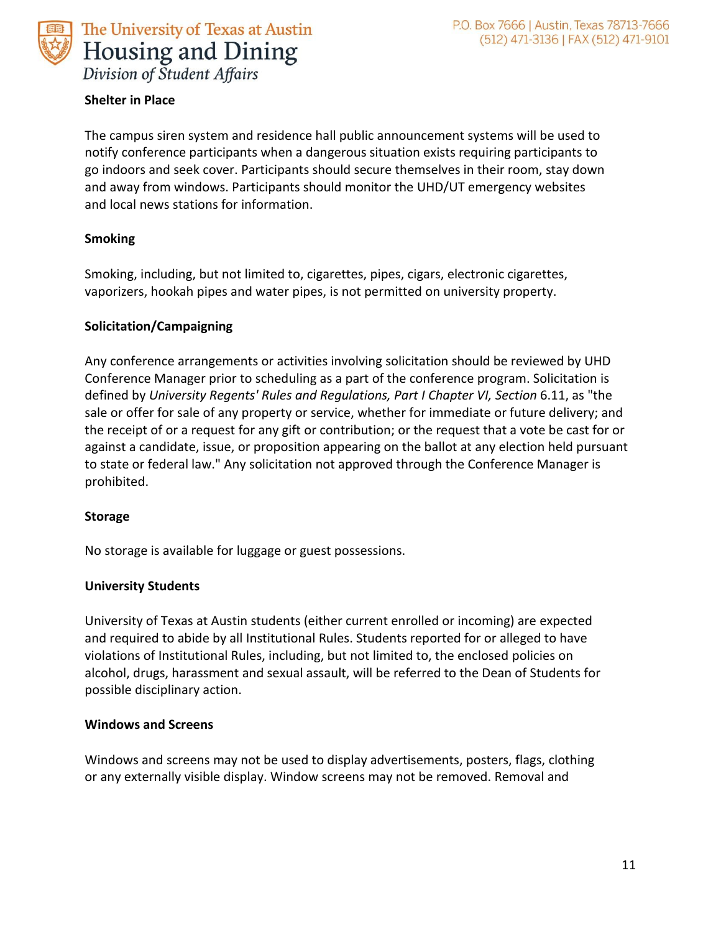

**Shelter in Place**

The campus siren system and residence hall public announcement systems will be used to notify conference participants when a dangerous situation exists requiring participants to go indoors and seek cover. Participants should secure themselves in their room, stay down and away from windows. Participants should monitor the UHD/UT emergency websites and local news stations for information.

#### **Smoking**

Smoking, including, but not limited to, cigarettes, pipes, cigars, electronic cigarettes, vaporizers, hookah pipes and water pipes, is not permitted on university property.

#### **Solicitation/Campaigning**

Any conference arrangements or activities involving solicitation should be reviewed by UHD Conference Manager prior to scheduling as a part of the conference program. Solicitation is defined by *University Regents' Rules and Regulations, Part I Chapter VI, Section* 6.11, as "the sale or offer for sale of any property or service, whether for immediate or future delivery; and the receipt of or a request for any gift or contribution; or the request that a vote be cast for or against a candidate, issue, or proposition appearing on the ballot at any election held pursuant to state or federal law." Any solicitation not approved through the Conference Manager is prohibited.

#### **Storage**

No storage is available for luggage or guest possessions.

#### **University Students**

University of Texas at Austin students (either current enrolled or incoming) are expected and required to abide by all Institutional Rules. Students reported for or alleged to have violations of Institutional Rules, including, but not limited to, the enclosed policies on alcohol, drugs, harassment and sexual assault, will be referred to the Dean of Students for possible disciplinary action.

#### **Windows and Screens**

Windows and screens may not be used to display advertisements, posters, flags, clothing or any externally visible display. Window screens may not be removed. Removal and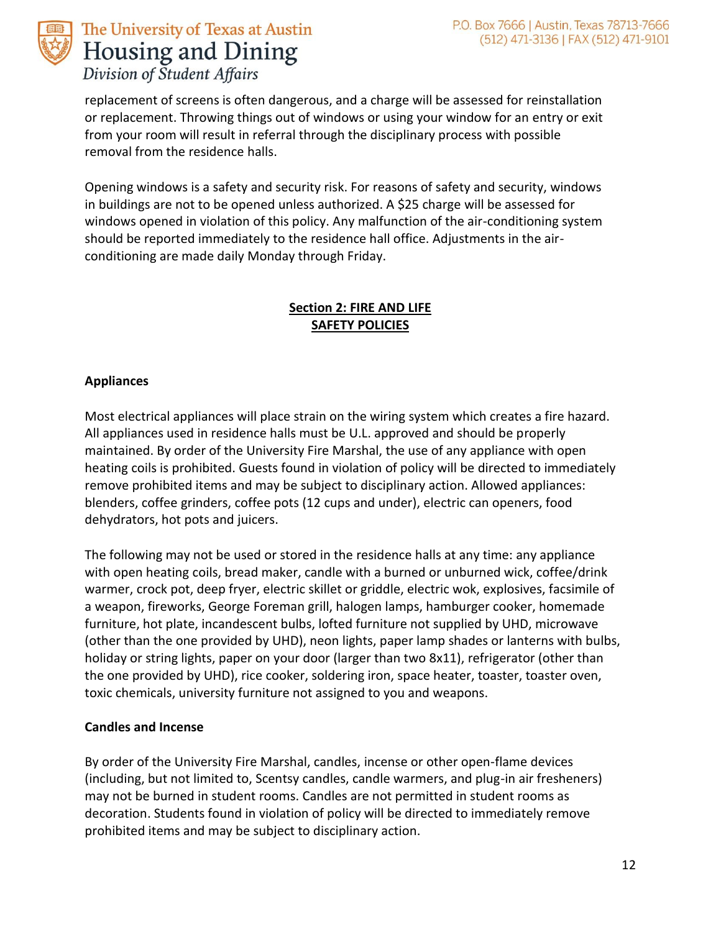

replacement of screens is often dangerous, and a charge will be assessed for reinstallation or replacement. Throwing things out of windows or using your window for an entry or exit from your room will result in referral through the disciplinary process with possible removal from the residence halls.

Opening windows is a safety and security risk. For reasons of safety and security, windows in buildings are not to be opened unless authorized. A \$25 charge will be assessed for windows opened in violation of this policy. Any malfunction of the air-conditioning system should be reported immediately to the residence hall office. Adjustments in the airconditioning are made daily Monday through Friday.

#### **Section 2: FIRE AND LIFE SAFETY POLICIES**

#### **Appliances**

Most electrical appliances will place strain on the wiring system which creates a fire hazard. All appliances used in residence halls must be U.L. approved and should be properly maintained. By order of the University Fire Marshal, the use of any appliance with open heating coils is prohibited. Guests found in violation of policy will be directed to immediately remove prohibited items and may be subject to disciplinary action. Allowed appliances: blenders, coffee grinders, coffee pots (12 cups and under), electric can openers, food dehydrators, hot pots and juicers.

The following may not be used or stored in the residence halls at any time: any appliance with open heating coils, bread maker, candle with a burned or unburned wick, coffee/drink warmer, crock pot, deep fryer, electric skillet or griddle, electric wok, explosives, facsimile of a weapon, fireworks, George Foreman grill, halogen lamps, hamburger cooker, homemade furniture, hot plate, incandescent bulbs, lofted furniture not supplied by UHD, microwave (other than the one provided by UHD), neon lights, paper lamp shades or lanterns with bulbs, holiday or string lights, paper on your door (larger than two 8x11), refrigerator (other than the one provided by UHD), rice cooker, soldering iron, space heater, toaster, toaster oven, toxic chemicals, university furniture not assigned to you and weapons.

#### **Candles and Incense**

By order of the University Fire Marshal, candles, incense or other open-flame devices (including, but not limited to, Scentsy candles, candle warmers, and plug-in air fresheners) may not be burned in student rooms. Candles are not permitted in student rooms as decoration. Students found in violation of policy will be directed to immediately remove prohibited items and may be subject to disciplinary action.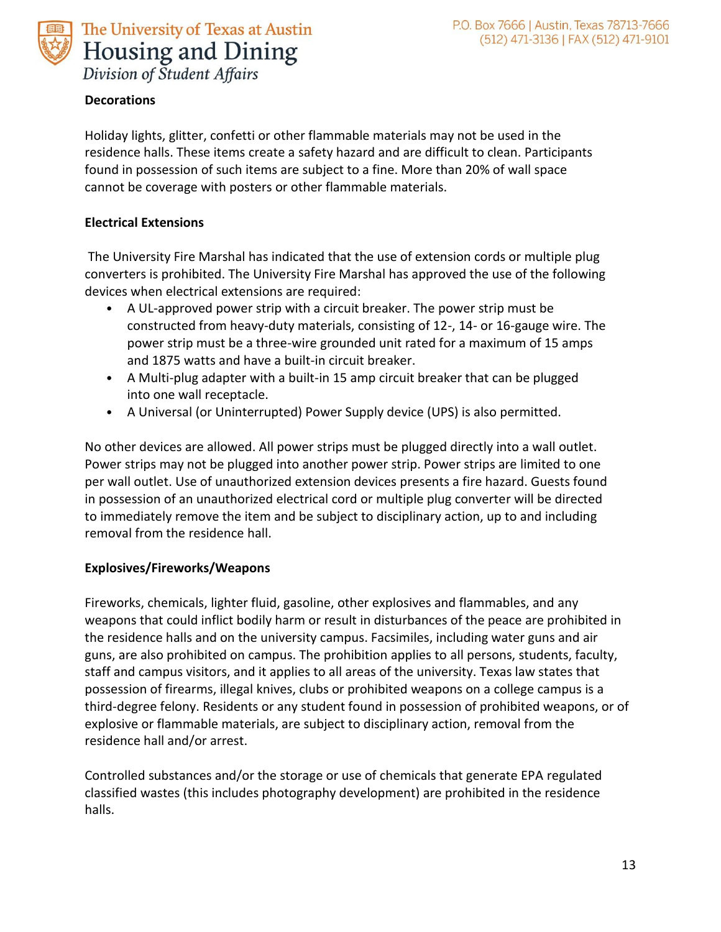

#### **Decorations**

Holiday lights, glitter, confetti or other flammable materials may not be used in the residence halls. These items create a safety hazard and are difficult to clean. Participants found in possession of such items are subject to a fine. More than 20% of wall space cannot be coverage with posters or other flammable materials.

#### **Electrical Extensions**

The University Fire Marshal has indicated that the use of extension cords or multiple plug converters is prohibited. The University Fire Marshal has approved the use of the following devices when electrical extensions are required:

- A UL-approved power strip with a circuit breaker. The power strip must be constructed from heavy-duty materials, consisting of 12-, 14- or 16-gauge wire. The power strip must be a three-wire grounded unit rated for a maximum of 15 amps and 1875 watts and have a built-in circuit breaker.
- A Multi-plug adapter with a built-in 15 amp circuit breaker that can be plugged into one wall receptacle.
- A Universal (or Uninterrupted) Power Supply device (UPS) is also permitted.

No other devices are allowed. All power strips must be plugged directly into a wall outlet. Power strips may not be plugged into another power strip. Power strips are limited to one per wall outlet. Use of unauthorized extension devices presents a fire hazard. Guests found in possession of an unauthorized electrical cord or multiple plug converter will be directed to immediately remove the item and be subject to disciplinary action, up to and including removal from the residence hall.

#### **Explosives/Fireworks/Weapons**

Fireworks, chemicals, lighter fluid, gasoline, other explosives and flammables, and any weapons that could inflict bodily harm or result in disturbances of the peace are prohibited in the residence halls and on the university campus. Facsimiles, including water guns and air guns, are also prohibited on campus. The prohibition applies to all persons, students, faculty, staff and campus visitors, and it applies to all areas of the university. Texas law states that possession of firearms, illegal knives, clubs or prohibited weapons on a college campus is a third-degree felony. Residents or any student found in possession of prohibited weapons, or of explosive or flammable materials, are subject to disciplinary action, removal from the residence hall and/or arrest.

Controlled substances and/or the storage or use of chemicals that generate EPA regulated classified wastes (this includes photography development) are prohibited in the residence halls.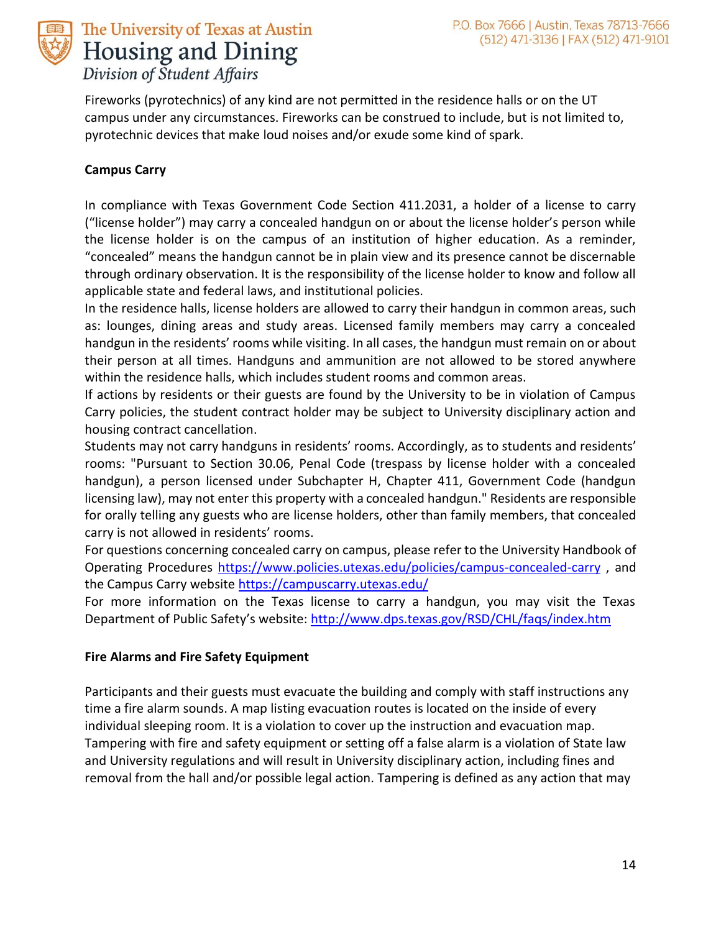

Fireworks (pyrotechnics) of any kind are not permitted in the residence halls or on the UT campus under any circumstances. Fireworks can be construed to include, but is not limited to, pyrotechnic devices that make loud noises and/or exude some kind of spark.

#### **Campus Carry**

In compliance with Texas Government Code Section 411.2031, a holder of a license to carry ("license holder") may carry a concealed handgun on or about the license holder's person while the license holder is on the campus of an institution of higher education. As a reminder, "concealed" means the handgun cannot be in plain view and its presence cannot be discernable through ordinary observation. It is the responsibility of the license holder to know and follow all applicable state and federal laws, and institutional policies.

In the residence halls, license holders are allowed to carry their handgun in common areas, such as: lounges, dining areas and study areas. Licensed family members may carry a concealed handgun in the residents' rooms while visiting. In all cases, the handgun must remain on or about their person at all times. Handguns and ammunition are not allowed to be stored anywhere within the residence halls, which includes student rooms and common areas.

If actions by residents or their guests are found by the University to be in violation of Campus Carry policies, the student contract holder may be subject to University disciplinary action and housing contract cancellation.

Students may not carry handguns in residents' rooms. Accordingly, as to students and residents' rooms: "Pursuant to Section 30.06, Penal Code (trespass by license holder with a concealed handgun), a person licensed under Subchapter H, Chapter 411, Government Code (handgun licensing law), may not enter this property with a concealed handgun." Residents are responsible for orally telling any guests who are license holders, other than family members, that concealed carry is not allowed in residents' rooms.

For questions concerning concealed carry on campus, please refer to the University Handbook of Operating Procedures<https://www.policies.utexas.edu/policies/campus-concealed-carry> , and the Campus Carry website <https://campuscarry.utexas.edu/>

For more information on the Texas license to carry a handgun, you may visit the Texas Department of Public Safety's website: <http://www.dps.texas.gov/RSD/CHL/faqs/index.htm>

#### **Fire Alarms and Fire Safety Equipment**

Participants and their guests must evacuate the building and comply with staff instructions any time a fire alarm sounds. A map listing evacuation routes is located on the inside of every individual sleeping room. It is a violation to cover up the instruction and evacuation map. Tampering with fire and safety equipment or setting off a false alarm is a violation of State law and University regulations and will result in University disciplinary action, including fines and removal from the hall and/or possible legal action. Tampering is defined as any action that may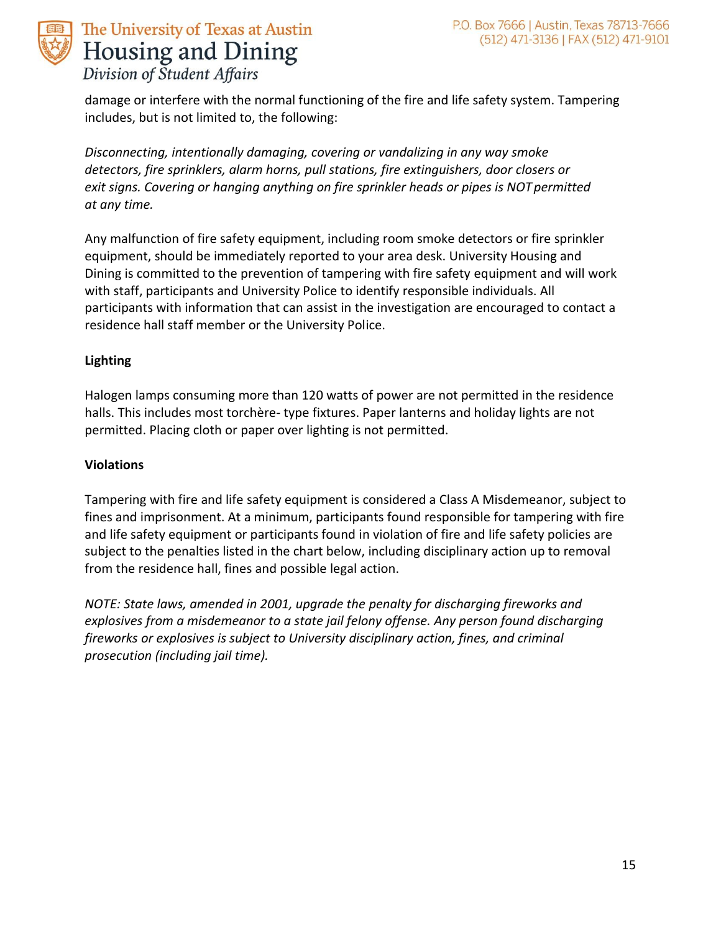

damage or interfere with the normal functioning of the fire and life safety system. Tampering includes, but is not limited to, the following:

*Disconnecting, intentionally damaging, covering or vandalizing in any way smoke detectors, fire sprinklers, alarm horns, pull stations, fire extinguishers, door closers or exit signs. Covering or hanging anything on fire sprinkler heads or pipes is NOT permitted at any time.*

Any malfunction of fire safety equipment, including room smoke detectors or fire sprinkler equipment, should be immediately reported to your area desk. University Housing and Dining is committed to the prevention of tampering with fire safety equipment and will work with staff, participants and University Police to identify responsible individuals. All participants with information that can assist in the investigation are encouraged to contact a residence hall staff member or the University Police.

#### **Lighting**

Halogen lamps consuming more than 120 watts of power are not permitted in the residence halls. This includes most torchère- type fixtures. Paper lanterns and holiday lights are not permitted. Placing cloth or paper over lighting is not permitted.

#### **Violations**

Tampering with fire and life safety equipment is considered a Class A Misdemeanor, subject to fines and imprisonment. At a minimum, participants found responsible for tampering with fire and life safety equipment or participants found in violation of fire and life safety policies are subject to the penalties listed in the chart below, including disciplinary action up to removal from the residence hall, fines and possible legal action.

*NOTE: State laws, amended in 2001, upgrade the penalty for discharging fireworks and explosives from a misdemeanor to a state jail felony offense. Any person found discharging fireworks or explosives is subject to University disciplinary action, fines, and criminal prosecution (including jail time).*